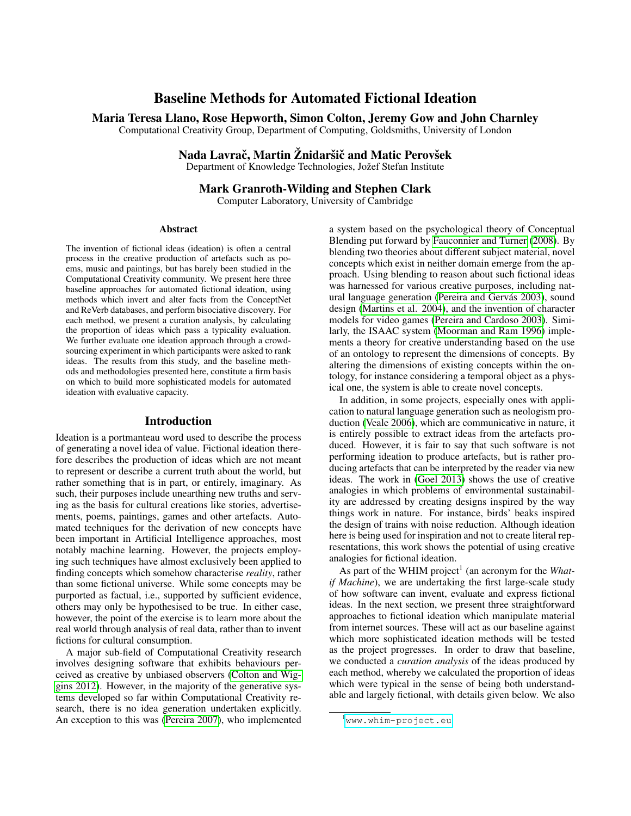# Baseline Methods for Automated Fictional Ideation

Maria Teresa Llano, Rose Hepworth, Simon Colton, Jeremy Gow and John Charnley

Computational Creativity Group, Department of Computing, Goldsmiths, University of London

## Nada Lavrač, Martin Žnidaršič and Matic Perovšek

Department of Knowledge Technologies, Jožef Stefan Institute

## Mark Granroth-Wilding and Stephen Clark

Computer Laboratory, University of Cambridge

#### Abstract

The invention of fictional ideas (ideation) is often a central process in the creative production of artefacts such as poems, music and paintings, but has barely been studied in the Computational Creativity community. We present here three baseline approaches for automated fictional ideation, using methods which invert and alter facts from the ConceptNet and ReVerb databases, and perform bisociative discovery. For each method, we present a curation analysis, by calculating the proportion of ideas which pass a typicality evaluation. We further evaluate one ideation approach through a crowdsourcing experiment in which participants were asked to rank ideas. The results from this study, and the baseline methods and methodologies presented here, constitute a firm basis on which to build more sophisticated models for automated ideation with evaluative capacity.

#### Introduction

Ideation is a portmanteau word used to describe the process of generating a novel idea of value. Fictional ideation therefore describes the production of ideas which are not meant to represent or describe a current truth about the world, but rather something that is in part, or entirely, imaginary. As such, their purposes include unearthing new truths and serving as the basis for cultural creations like stories, advertisements, poems, paintings, games and other artefacts. Automated techniques for the derivation of new concepts have been important in Artificial Intelligence approaches, most notably machine learning. However, the projects employing such techniques have almost exclusively been applied to finding concepts which somehow characterise *reality*, rather than some fictional universe. While some concepts may be purported as factual, i.e., supported by sufficient evidence, others may only be hypothesised to be true. In either case, however, the point of the exercise is to learn more about the real world through analysis of real data, rather than to invent fictions for cultural consumption.

A major sub-field of Computational Creativity research involves designing software that exhibits behaviours perceived as creative by unbiased observers [\(Colton and Wig](#page-8-0)[gins 2012\)](#page-8-0). However, in the majority of the generative systems developed so far within Computational Creativity research, there is no idea generation undertaken explicitly. An exception to this was [\(Pereira 2007\)](#page-8-1), who implemented a system based on the psychological theory of Conceptual Blending put forward by [Fauconnier and Turner](#page-8-2) [\(2008\)](#page-8-2). By blending two theories about different subject material, novel concepts which exist in neither domain emerge from the approach. Using blending to reason about such fictional ideas was harnessed for various creative purposes, including natural language generation (Pereira and Gervás 2003), sound design [\(Martins et al. 2004\)](#page-8-4), and the invention of character models for video games [\(Pereira and Cardoso 2003\)](#page-8-5). Similarly, the ISAAC system [\(Moorman and Ram 1996\)](#page-8-6) implements a theory for creative understanding based on the use of an ontology to represent the dimensions of concepts. By altering the dimensions of existing concepts within the ontology, for instance considering a temporal object as a physical one, the system is able to create novel concepts.

In addition, in some projects, especially ones with application to natural language generation such as neologism production [\(Veale 2006\)](#page-8-7), which are communicative in nature, it is entirely possible to extract ideas from the artefacts produced. However, it is fair to say that such software is not performing ideation to produce artefacts, but is rather producing artefacts that can be interpreted by the reader via new ideas. The work in [\(Goel 2013\)](#page-8-8) shows the use of creative analogies in which problems of environmental sustainability are addressed by creating designs inspired by the way things work in nature. For instance, birds' beaks inspired the design of trains with noise reduction. Although ideation here is being used for inspiration and not to create literal representations, this work shows the potential of using creative analogies for fictional ideation.

As part of the WHIM project<sup>1</sup> (an acronym for the *Whatif Machine*), we are undertaking the first large-scale study of how software can invent, evaluate and express fictional ideas. In the next section, we present three straightforward approaches to fictional ideation which manipulate material from internet sources. These will act as our baseline against which more sophisticated ideation methods will be tested as the project progresses. In order to draw that baseline, we conducted a *curation analysis* of the ideas produced by each method, whereby we calculated the proportion of ideas which were typical in the sense of being both understandable and largely fictional, with details given below. We also

<sup>1</sup><www.whim-project.eu>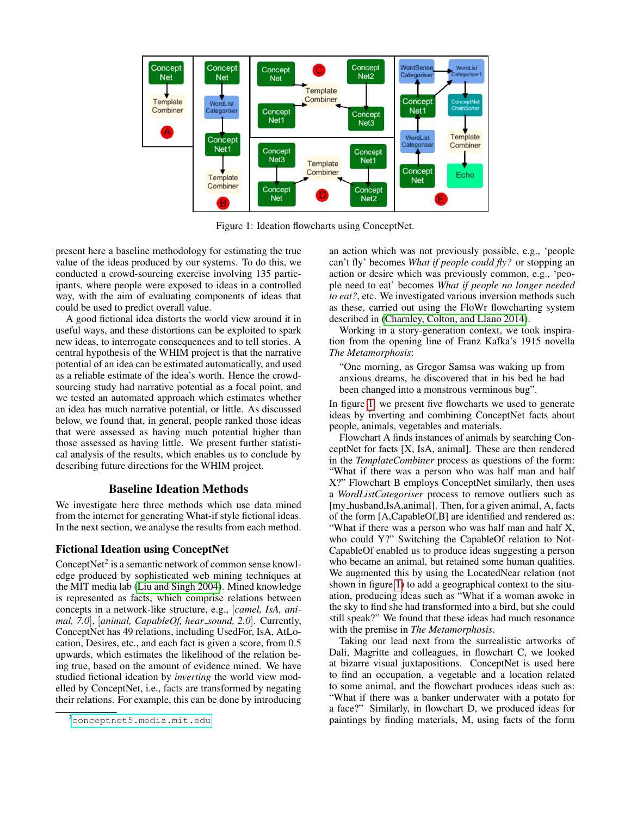

<span id="page-1-0"></span>Figure 1: Ideation flowcharts using ConceptNet.

present here a baseline methodology for estimating the true value of the ideas produced by our systems. To do this, we conducted a crowd-sourcing exercise involving 135 participants, where people were exposed to ideas in a controlled way, with the aim of evaluating components of ideas that could be used to predict overall value.

A good fictional idea distorts the world view around it in useful ways, and these distortions can be exploited to spark new ideas, to interrogate consequences and to tell stories. A central hypothesis of the WHIM project is that the narrative potential of an idea can be estimated automatically, and used as a reliable estimate of the idea's worth. Hence the crowdsourcing study had narrative potential as a focal point, and we tested an automated approach which estimates whether an idea has much narrative potential, or little. As discussed below, we found that, in general, people ranked those ideas that were assessed as having much potential higher than those assessed as having little. We present further statistical analysis of the results, which enables us to conclude by describing future directions for the WHIM project.

## Baseline Ideation Methods

We investigate here three methods which use data mined from the internet for generating What-if style fictional ideas. In the next section, we analyse the results from each method.

## Fictional Ideation using ConceptNet

ConceptNet<sup>2</sup> is a semantic network of common sense knowledge produced by sophisticated web mining techniques at the MIT media lab [\(Liu and Singh 2004\)](#page-8-9). Mined knowledge is represented as facts, which comprise relations between concepts in a network-like structure, e.g., [*camel, IsA, animal, 7.0*], [*animal, CapableOf, hear sound, 2.0*]. Currently, ConceptNet has 49 relations, including UsedFor, IsA, AtLocation, Desires, etc., and each fact is given a score, from 0.5 upwards, which estimates the likelihood of the relation being true, based on the amount of evidence mined. We have studied fictional ideation by *inverting* the world view modelled by ConceptNet, i.e., facts are transformed by negating their relations. For example, this can be done by introducing an action which was not previously possible, e.g., 'people can't fly' becomes *What if people could fly?* or stopping an action or desire which was previously common, e.g., 'people need to eat' becomes *What if people no longer needed to eat?*, etc. We investigated various inversion methods such as these, carried out using the FloWr flowcharting system described in [\(Charnley, Colton, and Llano 2014\)](#page-8-10).

Working in a story-generation context, we took inspiration from the opening line of Franz Kafka's 1915 novella *The Metamorphosis*:

"One morning, as Gregor Samsa was waking up from anxious dreams, he discovered that in his bed he had been changed into a monstrous verminous bug".

In figure [1,](#page-1-0) we present five flowcharts we used to generate ideas by inverting and combining ConceptNet facts about people, animals, vegetables and materials.

Flowchart A finds instances of animals by searching ConceptNet for facts [X, IsA, animal]. These are then rendered in the *TemplateCombiner* process as questions of the form: "What if there was a person who was half man and half X?" Flowchart B employs ConceptNet similarly, then uses a *WordListCategoriser* process to remove outliers such as [my\_husband,IsA,animal]. Then, for a given animal, A, facts of the form [A,CapableOf,B] are identified and rendered as: "What if there was a person who was half man and half X, who could Y?" Switching the CapableOf relation to Not-CapableOf enabled us to produce ideas suggesting a person who became an animal, but retained some human qualities. We augmented this by using the LocatedNear relation (not shown in figure [1\)](#page-1-0) to add a geographical context to the situation, producing ideas such as "What if a woman awoke in the sky to find she had transformed into a bird, but she could still speak?" We found that these ideas had much resonance with the premise in *The Metamorphosis*.

Taking our lead next from the surrealistic artworks of Dali, Magritte and colleagues, in flowchart C, we looked at bizarre visual juxtapositions. ConceptNet is used here to find an occupation, a vegetable and a location related to some animal, and the flowchart produces ideas such as: "What if there was a banker underwater with a potato for a face?" Similarly, in flowchart D, we produced ideas for paintings by finding materials, M, using facts of the form

<sup>2</sup><conceptnet5.media.mit.edu>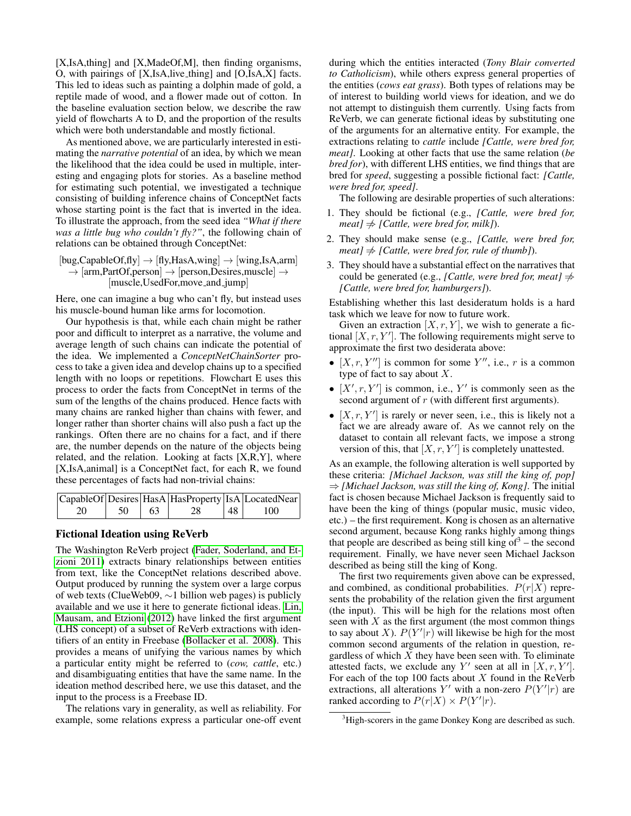[X,IsA,thing] and [X,MadeOf,M], then finding organisms, O, with pairings of [X,IsA,live thing] and [O,IsA,X] facts. This led to ideas such as painting a dolphin made of gold, a reptile made of wood, and a flower made out of cotton. In the baseline evaluation section below, we describe the raw yield of flowcharts A to D, and the proportion of the results which were both understandable and mostly fictional.

As mentioned above, we are particularly interested in estimating the *narrative potential* of an idea, by which we mean the likelihood that the idea could be used in multiple, interesting and engaging plots for stories. As a baseline method for estimating such potential, we investigated a technique consisting of building inference chains of ConceptNet facts whose starting point is the fact that is inverted in the idea. To illustrate the approach, from the seed idea *"What if there was a little bug who couldn't fly?"*, the following chain of relations can be obtained through ConceptNet:

 $[bug,CapableOf,fly] \rightarrow [fly,HasA,wing] \rightarrow [wing,IsA,arm]$  $\rightarrow$  [arm,PartOf,person]  $\rightarrow$  [person,Desires,muscle]  $\rightarrow$ [muscle,UsedFor,move and jump]

Here, one can imagine a bug who can't fly, but instead uses his muscle-bound human like arms for locomotion.

Our hypothesis is that, while each chain might be rather poor and difficult to interpret as a narrative, the volume and average length of such chains can indicate the potential of the idea. We implemented a *ConceptNetChainSorter* process to take a given idea and develop chains up to a specified length with no loops or repetitions. Flowchart E uses this process to order the facts from ConceptNet in terms of the sum of the lengths of the chains produced. Hence facts with many chains are ranked higher than chains with fewer, and longer rather than shorter chains will also push a fact up the rankings. Often there are no chains for a fact, and if there are, the number depends on the nature of the objects being related, and the relation. Looking at facts [X,R,Y], where [X,IsA,animal] is a ConceptNet fact, for each R, we found these percentages of facts had non-trivial chains:

|    |       |    |                    | CapableOf Desires   HasA   HasProperty   IsA   LocatedNear |
|----|-------|----|--------------------|------------------------------------------------------------|
| 20 | 50 63 | 28 | $\vert$ 48 $\vert$ | 100                                                        |

#### Fictional Ideation using ReVerb

The Washington ReVerb project [\(Fader, Soderland, and Et](#page-8-11)[zioni 2011\)](#page-8-11) extracts binary relationships between entities from text, like the ConceptNet relations described above. Output produced by running the system over a large corpus of web texts (ClueWeb09, ∼1 billion web pages) is publicly available and we use it here to generate fictional ideas. [Lin,](#page-8-12) [Mausam, and Etzioni](#page-8-12) [\(2012\)](#page-8-12) have linked the first argument (LHS concept) of a subset of ReVerb extractions with identifiers of an entity in Freebase [\(Bollacker et al. 2008\)](#page-8-13). This provides a means of unifying the various names by which a particular entity might be referred to (*cow, cattle*, etc.) and disambiguating entities that have the same name. In the ideation method described here, we use this dataset, and the input to the process is a Freebase ID.

The relations vary in generality, as well as reliability. For example, some relations express a particular one-off event

during which the entities interacted (*Tony Blair converted to Catholicism*), while others express general properties of the entities (*cows eat grass*). Both types of relations may be of interest to building world views for ideation, and we do not attempt to distinguish them currently. Using facts from ReVerb, we can generate fictional ideas by substituting one of the arguments for an alternative entity. For example, the extractions relating to *cattle* include *[Cattle, were bred for, meat]*. Looking at other facts that use the same relation (*be bred for*), with different LHS entities, we find things that are bred for *speed*, suggesting a possible fictional fact: *[Cattle, were bred for, speed]*.

The following are desirable properties of such alterations:

- 1. They should be fictional (e.g., *[Cattle, were bred for, meat*]  $\neq$  *[Cattle, were bred for, milk]*).
- 2. They should make sense (e.g., *[Cattle, were bred for, meat*]  $\neq$  *[Cattle, were bred for, rule of thumb]*).
- 3. They should have a substantial effect on the narratives that could be generated (e.g., *[Cattle, were bred for, meat]*  $\neq$ *[Cattle, were bred for, hamburgers]*).

Establishing whether this last desideratum holds is a hard task which we leave for now to future work.

Given an extraction  $[X, r, Y]$ , we wish to generate a fictional  $[X, r, Y']$ . The following requirements might serve to approximate the first two desiderata above:

- $[X, r, Y'']$  is common for some Y'', i.e., r is a common type of fact to say about  $X$ .
- $\bullet$  [X', r, Y'] is common, i.e., Y' is commonly seen as the second argument of r (with different first arguments).
- $[X, r, Y']$  is rarely or never seen, i.e., this is likely not a fact we are already aware of. As we cannot rely on the dataset to contain all relevant facts, we impose a strong version of this, that  $[X, r, Y']$  is completely unattested.

As an example, the following alteration is well supported by these criteria: *[Michael Jackson, was still the king of, pop]* ⇒ *[Michael Jackson, was still the king of, Kong]*. The initial fact is chosen because Michael Jackson is frequently said to have been the king of things (popular music, music video, etc.) – the first requirement. Kong is chosen as an alternative second argument, because Kong ranks highly among things that people are described as being still king of  $3$  – the second requirement. Finally, we have never seen Michael Jackson described as being still the king of Kong.

The first two requirements given above can be expressed, and combined, as conditional probabilities.  $P(r|X)$  represents the probability of the relation given the first argument (the input). This will be high for the relations most often seen with  $X$  as the first argument (the most common things to say about X).  $P(Y'|r)$  will likewise be high for the most common second arguments of the relation in question, regardless of which  $X$  they have been seen with. To eliminate attested facts, we exclude any Y' seen at all in  $[X, r, Y']$ . For each of the top 100 facts about  $X$  found in the ReVerb extractions, all alterations Y' with a non-zero  $P(Y'|r)$  are ranked according to  $P(r|X) \times P(Y'|r)$ .

<sup>&</sup>lt;sup>3</sup>High-scorers in the game Donkey Kong are described as such.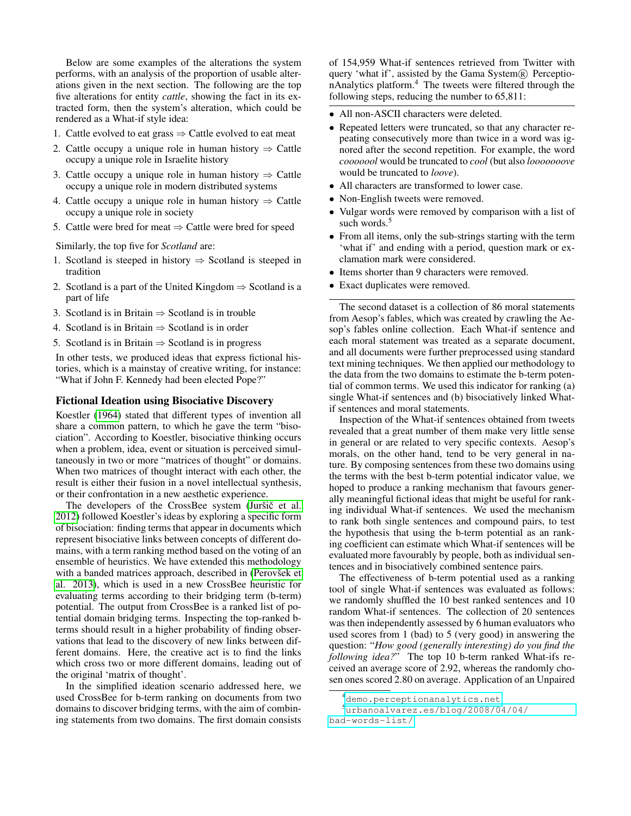Below are some examples of the alterations the system performs, with an analysis of the proportion of usable alterations given in the next section. The following are the top five alterations for entity *cattle*, showing the fact in its extracted form, then the system's alteration, which could be rendered as a What-if style idea:

- 1. Cattle evolved to eat grass  $\Rightarrow$  Cattle evolved to eat meat
- 2. Cattle occupy a unique role in human history  $\Rightarrow$  Cattle occupy a unique role in Israelite history
- 3. Cattle occupy a unique role in human history  $\Rightarrow$  Cattle occupy a unique role in modern distributed systems
- 4. Cattle occupy a unique role in human history  $\Rightarrow$  Cattle occupy a unique role in society
- 5. Cattle were bred for meat  $\Rightarrow$  Cattle were bred for speed

Similarly, the top five for *Scotland* are:

- 1. Scotland is steeped in history  $\Rightarrow$  Scotland is steeped in tradition
- 2. Scotland is a part of the United Kingdom  $\Rightarrow$  Scotland is a part of life
- 3. Scotland is in Britain  $\Rightarrow$  Scotland is in trouble
- 4. Scotland is in Britain  $\Rightarrow$  Scotland is in order
- 5. Scotland is in Britain  $\Rightarrow$  Scotland is in progress

In other tests, we produced ideas that express fictional histories, which is a mainstay of creative writing, for instance: "What if John F. Kennedy had been elected Pope?"

#### Fictional Ideation using Bisociative Discovery

Koestler [\(1964\)](#page-8-14) stated that different types of invention all share a common pattern, to which he gave the term "bisociation". According to Koestler, bisociative thinking occurs when a problem, idea, event or situation is perceived simultaneously in two or more "matrices of thought" or domains. When two matrices of thought interact with each other, the result is either their fusion in a novel intellectual synthesis, or their confrontation in a new aesthetic experience.

The developers of the CrossBee system (Juršič et al. [2012\)](#page-8-15) followed Koestler's ideas by exploring a specific form of bisociation: finding terms that appear in documents which represent bisociative links between concepts of different domains, with a term ranking method based on the voting of an ensemble of heuristics. We have extended this methodology with a banded matrices approach, described in (Perovšek et [al. 2013\)](#page-8-16), which is used in a new CrossBee heuristic for evaluating terms according to their bridging term (b-term) potential. The output from CrossBee is a ranked list of potential domain bridging terms. Inspecting the top-ranked bterms should result in a higher probability of finding observations that lead to the discovery of new links between different domains. Here, the creative act is to find the links which cross two or more different domains, leading out of the original 'matrix of thought'.

In the simplified ideation scenario addressed here, we used CrossBee for b-term ranking on documents from two domains to discover bridging terms, with the aim of combining statements from two domains. The first domain consists

of 154,959 What-if sentences retrieved from Twitter with query 'what if', assisted by the Gama System<sup>(R)</sup> PerceptionAnalytics platform.<sup>4</sup> The tweets were filtered through the following steps, reducing the number to 65,811:

- All non-ASCII characters were deleted.
- Repeated letters were truncated, so that any character repeating consecutively more than twice in a word was ignored after the second repetition. For example, the word *cooooool* would be truncated to *cool* (but also *looooooove* would be truncated to *loove*).
- All characters are transformed to lower case.
- Non-English tweets were removed.
- Vulgar words were removed by comparison with a list of such words.<sup>5</sup>
- From all items, only the sub-strings starting with the term 'what if' and ending with a period, question mark or exclamation mark were considered.
- Items shorter than 9 characters were removed.
- Exact duplicates were removed.

The second dataset is a collection of 86 moral statements from Aesop's fables, which was created by crawling the Aesop's fables online collection. Each What-if sentence and each moral statement was treated as a separate document, and all documents were further preprocessed using standard text mining techniques. We then applied our methodology to the data from the two domains to estimate the b-term potential of common terms. We used this indicator for ranking (a) single What-if sentences and (b) bisociatively linked Whatif sentences and moral statements.

Inspection of the What-if sentences obtained from tweets revealed that a great number of them make very little sense in general or are related to very specific contexts. Aesop's morals, on the other hand, tend to be very general in nature. By composing sentences from these two domains using the terms with the best b-term potential indicator value, we hoped to produce a ranking mechanism that favours generally meaningful fictional ideas that might be useful for ranking individual What-if sentences. We used the mechanism to rank both single sentences and compound pairs, to test the hypothesis that using the b-term potential as an ranking coefficient can estimate which What-if sentences will be evaluated more favourably by people, both as individual sentences and in bisociatively combined sentence pairs.

The effectiveness of b-term potential used as a ranking tool of single What-if sentences was evaluated as follows: we randomly shuffled the 10 best ranked sentences and 10 random What-if sentences. The collection of 20 sentences was then independently assessed by 6 human evaluators who used scores from 1 (bad) to 5 (very good) in answering the question: "*How good (generally interesting) do you find the following idea?*" The top 10 b-term ranked What-ifs received an average score of 2.92, whereas the randomly chosen ones scored 2.80 on average. Application of an Unpaired

<sup>4</sup><demo.perceptionanalytics.net>

<sup>5</sup>[urbanoalvarez.es/blog/2008/04/04/](urbanoalvarez.es/blog/2008/04/04/bad-words-list/) [bad-words-list/](urbanoalvarez.es/blog/2008/04/04/bad-words-list/)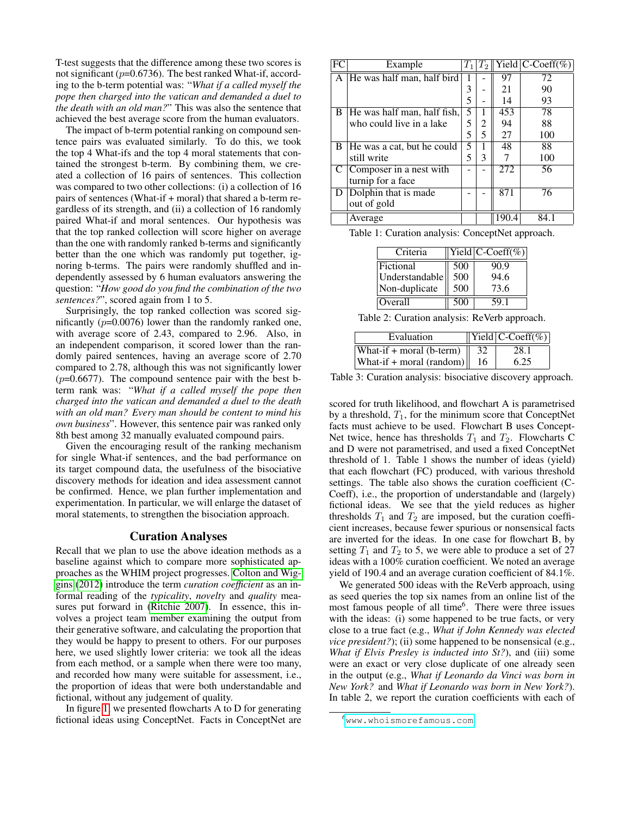T-test suggests that the difference among these two scores is not significant ( $p=0.6736$ ). The best ranked What-if, according to the b-term potential was: "*What if a called myself the pope then charged into the vatican and demanded a duel to the death with an old man?*" This was also the sentence that achieved the best average score from the human evaluators.

The impact of b-term potential ranking on compound sentence pairs was evaluated similarly. To do this, we took the top 4 What-ifs and the top 4 moral statements that contained the strongest b-term. By combining them, we created a collection of 16 pairs of sentences. This collection was compared to two other collections: (i) a collection of 16 pairs of sentences (What-if + moral) that shared a b-term regardless of its strength, and (ii) a collection of 16 randomly paired What-if and moral sentences. Our hypothesis was that the top ranked collection will score higher on average than the one with randomly ranked b-terms and significantly better than the one which was randomly put together, ignoring b-terms. The pairs were randomly shuffled and independently assessed by 6 human evaluators answering the question: "*How good do you find the combination of the two sentences?*", scored again from 1 to 5.

Surprisingly, the top ranked collection was scored significantly  $(p=0.0076)$  lower than the randomly ranked one, with average score of 2.43, compared to 2.96. Also, in an independent comparison, it scored lower than the randomly paired sentences, having an average score of 2.70 compared to 2.78, although this was not significantly lower  $(p=0.6677)$ . The compound sentence pair with the best bterm rank was: "*What if a called myself the pope then charged into the vatican and demanded a duel to the death with an old man? Every man should be content to mind his own business*". However, this sentence pair was ranked only 8th best among 32 manually evaluated compound pairs.

Given the encouraging result of the ranking mechanism for single What-if sentences, and the bad performance on its target compound data, the usefulness of the bisociative discovery methods for ideation and idea assessment cannot be confirmed. Hence, we plan further implementation and experimentation. In particular, we will enlarge the dataset of moral statements, to strengthen the bisociation approach.

#### Curation Analyses

Recall that we plan to use the above ideation methods as a baseline against which to compare more sophisticated approaches as the WHIM project progresses. [Colton and Wig](#page-8-0)[gins](#page-8-0) [\(2012\)](#page-8-0) introduce the term *curation coefficient* as an informal reading of the *typicality*, *novelty* and *quality* measures put forward in [\(Ritchie 2007\)](#page-8-17). In essence, this involves a project team member examining the output from their generative software, and calculating the proportion that they would be happy to present to others. For our purposes here, we used slightly lower criteria: we took all the ideas from each method, or a sample when there were too many, and recorded how many were suitable for assessment, i.e., the proportion of ideas that were both understandable and fictional, without any judgement of quality.

In figure [1,](#page-1-0) we presented flowcharts A to D for generating fictional ideas using ConceptNet. Facts in ConceptNet are

|    | Example                     | $T_1$ | $T_2$ |                  | Yield $ C\text{-Coeff}(\%)$ |
|----|-----------------------------|-------|-------|------------------|-----------------------------|
| A  | He was half man, half bird  |       |       | 97               | 72                          |
|    |                             | 3     |       | 21               | 90                          |
|    |                             | 5     |       | 14               | 93                          |
| B  | He was half man, half fish, | 5     |       | 453              | 78                          |
|    | who could live in a lake    | 5     | 2     | 94               | 88                          |
|    |                             | 5     | 5     | 27               | 100                         |
| B. | He was a cat, but he could  | 5     |       | 48               | 88                          |
|    | still write                 | 5     | 3     |                  | 100                         |
| C  | Composer in a nest with     |       |       | 272              | 56                          |
|    | turnip for a face           |       |       |                  |                             |
| D. | Dolphin that is made        |       |       | $\overline{871}$ | 76                          |
|    | out of gold                 |       |       |                  |                             |
|    | Average                     |       |       | 190.4            | 84.1                        |

Table 1: Curation analysis: ConceptNet approach.

| Criteria       |     | $\overline{\text{Yield}}$ C-Coeff(%) |
|----------------|-----|--------------------------------------|
| Fictional      | 500 | 90.9                                 |
| Understandable | 500 | 94.6                                 |
| Non-duplicate  | 500 | 73.6                                 |
| <b>Overall</b> | 500 | 59.1                                 |

Table 2: Curation analysis: ReVerb approach.

| Evaluation                              | $\overline{\text{Yield} \text{C-Coeff}(\%)}$ |
|-----------------------------------------|----------------------------------------------|
| What-if + moral (b-term) $\parallel$ 32 | 28.1                                         |
| What-if + moral (random) $\ $           | 6.25                                         |

Table 3: Curation analysis: bisociative discovery approach.

scored for truth likelihood, and flowchart A is parametrised by a threshold,  $T_1$ , for the minimum score that ConceptNet facts must achieve to be used. Flowchart B uses Concept-Net twice, hence has thresholds  $T_1$  and  $T_2$ . Flowcharts C and D were not parametrised, and used a fixed ConceptNet threshold of 1. Table 1 shows the number of ideas (yield) that each flowchart (FC) produced, with various threshold settings. The table also shows the curation coefficient (C-Coeff), i.e., the proportion of understandable and (largely) fictional ideas. We see that the yield reduces as higher thresholds  $T_1$  and  $T_2$  are imposed, but the curation coefficient increases, because fewer spurious or nonsensical facts are inverted for the ideas. In one case for flowchart B, by setting  $T_1$  and  $T_2$  to 5, we were able to produce a set of 27 ideas with a 100% curation coefficient. We noted an average yield of 190.4 and an average curation coefficient of 84.1%.

We generated 500 ideas with the ReVerb approach, using as seed queries the top six names from an online list of the most famous people of all time<sup>6</sup>. There were three issues with the ideas: (i) some happened to be true facts, or very close to a true fact (e.g., *What if John Kennedy was elected vice president?*); (ii) some happened to be nonsensical (e.g., *What if Elvis Presley is inducted into St?*), and (iii) some were an exact or very close duplicate of one already seen in the output (e.g., *What if Leonardo da Vinci was born in New York?* and *What if Leonardo was born in New York?*). In table 2, we report the curation coefficients with each of

 $^{6}$ <www.whoismorefamous.com>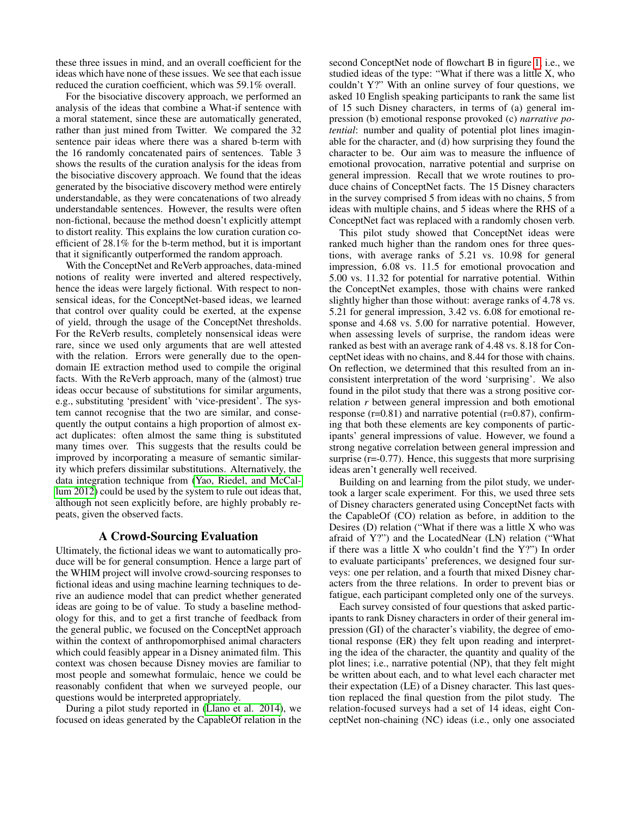these three issues in mind, and an overall coefficient for the ideas which have none of these issues. We see that each issue reduced the curation coefficient, which was 59.1% overall.

For the bisociative discovery approach, we performed an analysis of the ideas that combine a What-if sentence with a moral statement, since these are automatically generated, rather than just mined from Twitter. We compared the 32 sentence pair ideas where there was a shared b-term with the 16 randomly concatenated pairs of sentences. Table 3 shows the results of the curation analysis for the ideas from the bisociative discovery approach. We found that the ideas generated by the bisociative discovery method were entirely understandable, as they were concatenations of two already understandable sentences. However, the results were often non-fictional, because the method doesn't explicitly attempt to distort reality. This explains the low curation curation coefficient of 28.1% for the b-term method, but it is important that it significantly outperformed the random approach.

With the ConceptNet and ReVerb approaches, data-mined notions of reality were inverted and altered respectively, hence the ideas were largely fictional. With respect to nonsensical ideas, for the ConceptNet-based ideas, we learned that control over quality could be exerted, at the expense of yield, through the usage of the ConceptNet thresholds. For the ReVerb results, completely nonsensical ideas were rare, since we used only arguments that are well attested with the relation. Errors were generally due to the opendomain IE extraction method used to compile the original facts. With the ReVerb approach, many of the (almost) true ideas occur because of substitutions for similar arguments, e.g., substituting 'president' with 'vice-president'. The system cannot recognise that the two are similar, and consequently the output contains a high proportion of almost exact duplicates: often almost the same thing is substituted many times over. This suggests that the results could be improved by incorporating a measure of semantic similarity which prefers dissimilar substitutions. Alternatively, the data integration technique from [\(Yao, Riedel, and McCal](#page-8-18)[lum 2012\)](#page-8-18) could be used by the system to rule out ideas that, although not seen explicitly before, are highly probably repeats, given the observed facts.

## A Crowd-Sourcing Evaluation

Ultimately, the fictional ideas we want to automatically produce will be for general consumption. Hence a large part of the WHIM project will involve crowd-sourcing responses to fictional ideas and using machine learning techniques to derive an audience model that can predict whether generated ideas are going to be of value. To study a baseline methodology for this, and to get a first tranche of feedback from the general public, we focused on the ConceptNet approach within the context of anthropomorphised animal characters which could feasibly appear in a Disney animated film. This context was chosen because Disney movies are familiar to most people and somewhat formulaic, hence we could be reasonably confident that when we surveyed people, our questions would be interpreted appropriately.

During a pilot study reported in [\(Llano et al. 2014\)](#page-8-19), we focused on ideas generated by the CapableOf relation in the

second ConceptNet node of flowchart B in figure [1,](#page-1-0) i.e., we studied ideas of the type: "What if there was a little X, who couldn't Y?" With an online survey of four questions, we asked 10 English speaking participants to rank the same list of 15 such Disney characters, in terms of (a) general impression (b) emotional response provoked (c) *narrative potential*: number and quality of potential plot lines imaginable for the character, and (d) how surprising they found the character to be. Our aim was to measure the influence of emotional provocation, narrative potential and surprise on general impression. Recall that we wrote routines to produce chains of ConceptNet facts. The 15 Disney characters in the survey comprised 5 from ideas with no chains, 5 from ideas with multiple chains, and 5 ideas where the RHS of a ConceptNet fact was replaced with a randomly chosen verb.

This pilot study showed that ConceptNet ideas were ranked much higher than the random ones for three questions, with average ranks of 5.21 vs. 10.98 for general impression, 6.08 vs. 11.5 for emotional provocation and 5.00 vs. 11.32 for potential for narrative potential. Within the ConceptNet examples, those with chains were ranked slightly higher than those without: average ranks of 4.78 vs. 5.21 for general impression, 3.42 vs. 6.08 for emotional response and 4.68 vs. 5.00 for narrative potential. However, when assessing levels of surprise, the random ideas were ranked as best with an average rank of 4.48 vs. 8.18 for ConceptNet ideas with no chains, and 8.44 for those with chains. On reflection, we determined that this resulted from an inconsistent interpretation of the word 'surprising'. We also found in the pilot study that there was a strong positive correlation *r* between general impression and both emotional response  $(r=0.81)$  and narrative potential  $(r=0.87)$ , confirming that both these elements are key components of participants' general impressions of value. However, we found a strong negative correlation between general impression and surprise  $(r=0.77)$ . Hence, this suggests that more surprising ideas aren't generally well received.

Building on and learning from the pilot study, we undertook a larger scale experiment. For this, we used three sets of Disney characters generated using ConceptNet facts with the CapableOf (CO) relation as before, in addition to the Desires (D) relation ("What if there was a little X who was afraid of Y?") and the LocatedNear (LN) relation ("What if there was a little X who couldn't find the Y?") In order to evaluate participants' preferences, we designed four surveys: one per relation, and a fourth that mixed Disney characters from the three relations. In order to prevent bias or fatigue, each participant completed only one of the surveys.

Each survey consisted of four questions that asked participants to rank Disney characters in order of their general impression (GI) of the character's viability, the degree of emotional response (ER) they felt upon reading and interpreting the idea of the character, the quantity and quality of the plot lines; i.e., narrative potential (NP), that they felt might be written about each, and to what level each character met their expectation (LE) of a Disney character. This last question replaced the final question from the pilot study. The relation-focused surveys had a set of 14 ideas, eight ConceptNet non-chaining (NC) ideas (i.e., only one associated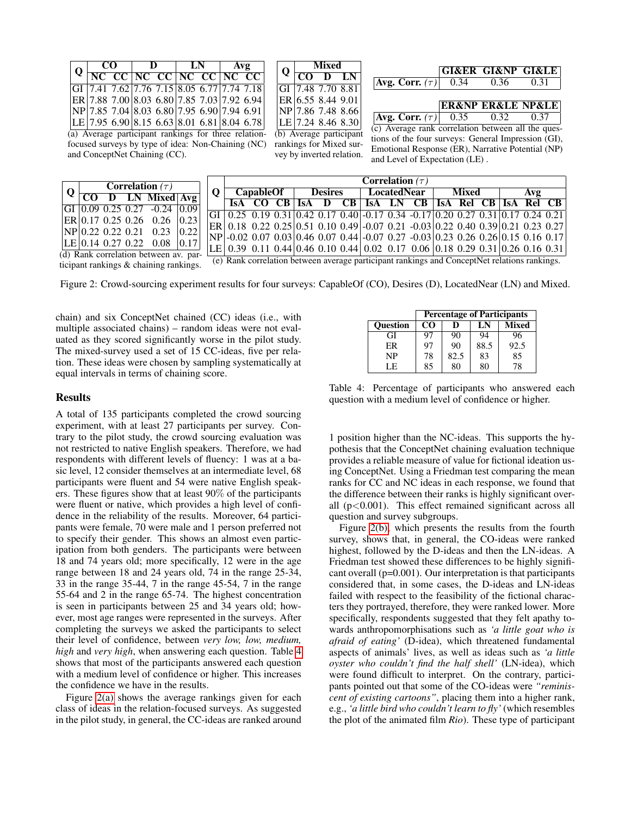<span id="page-6-1"></span>

| CO<br>$Q \left  \frac{C}{NC \ CC} \right  \frac{L}{NC \ CC} \left  \frac{C}{NC \ CC} \right  \frac{C}{NC \ CC} \left  \frac{C}{C} \frac{C}{C} \right $ |  | - D |  | $\begin{array}{ccc} \ & \textbf{LN} & \ \end{array}$ | Avg |                                                      |  |
|--------------------------------------------------------------------------------------------------------------------------------------------------------|--|-----|--|------------------------------------------------------|-----|------------------------------------------------------|--|
|                                                                                                                                                        |  |     |  |                                                      |     |                                                      |  |
|                                                                                                                                                        |  |     |  |                                                      |     | GI 7.41 7.62 7.76 7.15 8.05 6.77 7.74 7.18           |  |
|                                                                                                                                                        |  |     |  |                                                      |     | ER   7.88 7.00   8.03 6.80   7.85 7.03   7.92 6.94   |  |
|                                                                                                                                                        |  |     |  |                                                      |     | $ NP 7.85 7.04 8.03 6.80 7.95 6.90 7.94 6.91 $       |  |
|                                                                                                                                                        |  |     |  |                                                      |     | $ LE $ 7.95 6.90 8.15 6.63 8.01 6.81 8.04 6.78       |  |
|                                                                                                                                                        |  |     |  |                                                      |     | (a) Average participant rankings for three relation- |  |

<span id="page-6-2"></span>Q **Mixed** CO D LN GI 7.48 7.70 8.81 ER 6.55 8.44 9.01 NP 7.86 7.48 8.66 LE 7.24 8.46 8.30 (b) Average participant rankings for Mixed survey by inverted relation.

<span id="page-6-3"></span>

|                                                     |      | <b>GI&amp;ER GI&amp;NP GI&amp;LE</b> |                                      |  |  |  |  |  |
|-----------------------------------------------------|------|--------------------------------------|--------------------------------------|--|--|--|--|--|
| <b>Avg. Corr.</b> $(\tau)$                          | 0.34 | 0.36                                 | 0.31                                 |  |  |  |  |  |
|                                                     |      |                                      |                                      |  |  |  |  |  |
|                                                     |      |                                      | <b>ER&amp;NP ER&amp;LE NP&amp;LE</b> |  |  |  |  |  |
| <b>Avg. Corr.</b> $(\tau)$ 0.35 0.32                |      |                                      | 0.37                                 |  |  |  |  |  |
| (c) Average rank correlation between all the ques-  |      |                                      |                                      |  |  |  |  |  |
| tions of the four surveys: General Impression (GI), |      |                                      |                                      |  |  |  |  |  |

Emotional Response (ER), Narrative Potential (NP)

and Level of Expectation (LE) .

focused surveys by type of idea: Non-Chaining (NC) and ConceptNet Chaining (CC).

<span id="page-6-5"></span>

|                                                                                                                                                                                                                                                              |  | <b>Correlation</b> $(\tau)$  |      |  | Correlation $(\tau)$ |                  |  |  |                |  |             |  |                                                                                                                                                          |       |  |     |  |
|--------------------------------------------------------------------------------------------------------------------------------------------------------------------------------------------------------------------------------------------------------------|--|------------------------------|------|--|----------------------|------------------|--|--|----------------|--|-------------|--|----------------------------------------------------------------------------------------------------------------------------------------------------------|-------|--|-----|--|
|                                                                                                                                                                                                                                                              |  | D LN Mixed Avg               |      |  |                      | <b>CapableOf</b> |  |  | <b>Desires</b> |  | LocatedNear |  |                                                                                                                                                          | Mixed |  | Avg |  |
|                                                                                                                                                                                                                                                              |  | $0.25$ 0.27 $-0.24$ $ 0.09 $ |      |  |                      |                  |  |  |                |  |             |  | ISA CO CB ISA D CB ISA LN CB ISA Rel CB ISA Rel CB                                                                                                       |       |  |     |  |
|                                                                                                                                                                                                                                                              |  |                              |      |  |                      |                  |  |  |                |  |             |  | GI $\left[0.25\right]$ 0.19 0.31 $\left[0.42\right]$ 0.17 0.40 $\left[0.17\right]$ 0.34 $\left[0.17\right]$ 0.20 0.27 0.31 $\left[0.17\right]$ 0.24 0.21 |       |  |     |  |
|                                                                                                                                                                                                                                                              |  | $0.25 \t0.26 \t0.26 \t0.23$  |      |  |                      |                  |  |  |                |  |             |  | ER  0.18 0.22 0.25   0.51 0.10 0.49   -0.07 0.21 -0.03   0.22 0.40 0.39   0.21 0.23 0.27                                                                 |       |  |     |  |
|                                                                                                                                                                                                                                                              |  | $0.22 \ 0.21 \ 0.23$         | 0.22 |  |                      |                  |  |  |                |  |             |  | NP -0.02 0.07 0.03 0.46 0.07 0.44 -0.07 0.27 -0.03 0.23 0.26 0.26 0.15 0.16 0.17                                                                         |       |  |     |  |
|                                                                                                                                                                                                                                                              |  | $0.27 \t0.22 \t0.08 \t0.17$  |      |  |                      |                  |  |  |                |  |             |  |                                                                                                                                                          |       |  |     |  |
| LE   0.39 \ 0.11 \ 0.44   0.46 \ 0.10 \ 0.44   0.02 \ 0.17 \ 0.06   0.18 \ 0.29 \ 0.31   0.26 \ 0.16 \ 0.31  <br>rrelation between av. par-<br>(e) Rank correlation between average participant rankings and ConceptNet relations rankings.<br>$\frac{1}{2}$ |  |                              |      |  |                      |                  |  |  |                |  |             |  |                                                                                                                                                          |       |  |     |  |

 $(d)$  Rank correlation bet ticipant rankings & chaining rankings.

<span id="page-6-4"></span> $CO$  D LN GI 0.09 0.25 0.27  $ER$  0.17 0.25 0.26  $NP$  0.22 0.22 0.21  $LE$  0.14 0.27 0.22

Figure 2: Crowd-sourcing experiment results for four surveys: CapableOf (CO), Desires (D), LocatedNear (LN) and Mixed.

chain) and six ConceptNet chained (CC) ideas (i.e., with multiple associated chains) – random ideas were not evaluated as they scored significantly worse in the pilot study. The mixed-survey used a set of 15 CC-ideas, five per relation. These ideas were chosen by sampling systematically at equal intervals in terms of chaining score.

## Results

Q

A total of 135 participants completed the crowd sourcing experiment, with at least 27 participants per survey. Contrary to the pilot study, the crowd sourcing evaluation was not restricted to native English speakers. Therefore, we had respondents with different levels of fluency: 1 was at a basic level, 12 consider themselves at an intermediate level, 68 participants were fluent and 54 were native English speakers. These figures show that at least 90% of the participants were fluent or native, which provides a high level of confidence in the reliability of the results. Moreover, 64 participants were female, 70 were male and 1 person preferred not to specify their gender. This shows an almost even participation from both genders. The participants were between 18 and 74 years old; more specifically, 12 were in the age range between 18 and 24 years old, 74 in the range 25-34, 33 in the range 35-44, 7 in the range 45-54, 7 in the range 55-64 and 2 in the range 65-74. The highest concentration is seen in participants between 25 and 34 years old; however, most age ranges were represented in the surveys. After completing the surveys we asked the participants to select their level of confidence, between *very low, low, medium, high* and *very high*, when answering each question. Table [4](#page-6-0) shows that most of the participants answered each question with a medium level of confidence or higher. This increases the confidence we have in the results.

Figure [2\(a\)](#page-6-1) shows the average rankings given for each class of ideas in the relation-focused surveys. As suggested in the pilot study, in general, the CC-ideas are ranked around

|                 | <b>Percentage of Participants</b> |      |      |              |  |  |  |  |  |
|-----------------|-----------------------------------|------|------|--------------|--|--|--|--|--|
| <b>Ouestion</b> | CO.                               | D    | LN   | <b>Mixed</b> |  |  |  |  |  |
| GI              | 97                                | 90   | 94   | 96           |  |  |  |  |  |
| ER              | 97                                | 90   | 88.5 | 92.5         |  |  |  |  |  |
| NP              | 78                                | 82.5 | 83   | 85           |  |  |  |  |  |
| LE              | 85                                | 80   | 80   | 78           |  |  |  |  |  |

<span id="page-6-0"></span>Table 4: Percentage of participants who answered each question with a medium level of confidence or higher.

1 position higher than the NC-ideas. This supports the hypothesis that the ConceptNet chaining evaluation technique provides a reliable measure of value for fictional ideation using ConceptNet. Using a Friedman test comparing the mean ranks for CC and NC ideas in each response, we found that the difference between their ranks is highly significant overall  $(p<0.001)$ . This effect remained significant across all question and survey subgroups.

Figure [2\(b\),](#page-6-2) which presents the results from the fourth survey, shows that, in general, the CO-ideas were ranked highest, followed by the D-ideas and then the LN-ideas. A Friedman test showed these differences to be highly significant overall (p=0.001). Our interpretation is that participants considered that, in some cases, the D-ideas and LN-ideas failed with respect to the feasibility of the fictional characters they portrayed, therefore, they were ranked lower. More specifically, respondents suggested that they felt apathy towards anthropomorphisations such as *'a little goat who is afraid of eating'* (D-idea), which threatened fundamental aspects of animals' lives, as well as ideas such as *'a little oyster who couldn't find the half shell'* (LN-idea), which were found difficult to interpret. On the contrary, participants pointed out that some of the CO-ideas were *"reminiscent of existing cartoons"*, placing them into a higher rank, e.g., *'a little bird who couldn't learn to fly'* (which resembles the plot of the animated film *Rio*). These type of participant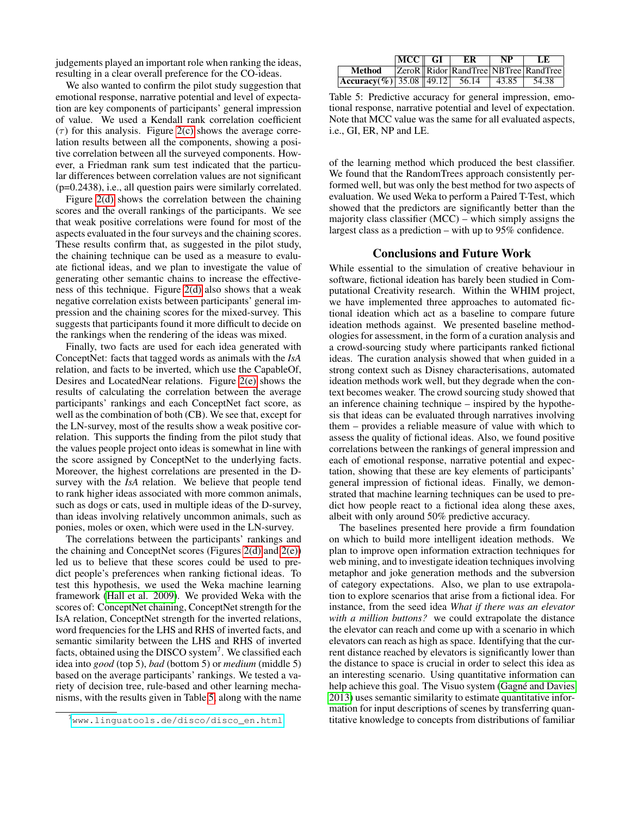judgements played an important role when ranking the ideas, resulting in a clear overall preference for the CO-ideas.

We also wanted to confirm the pilot study suggestion that emotional response, narrative potential and level of expectation are key components of participants' general impression of value. We used a Kendall rank correlation coefficient  $(\tau)$  for this analysis. Figure [2\(c\)](#page-6-3) shows the average correlation results between all the components, showing a positive correlation between all the surveyed components. However, a Friedman rank sum test indicated that the particular differences between correlation values are not significant (p=0.2438), i.e., all question pairs were similarly correlated.

Figure [2\(d\)](#page-6-4) shows the correlation between the chaining scores and the overall rankings of the participants. We see that weak positive correlations were found for most of the aspects evaluated in the four surveys and the chaining scores. These results confirm that, as suggested in the pilot study, the chaining technique can be used as a measure to evaluate fictional ideas, and we plan to investigate the value of generating other semantic chains to increase the effectiveness of this technique. Figure [2\(d\)](#page-6-4) also shows that a weak negative correlation exists between participants' general impression and the chaining scores for the mixed-survey. This suggests that participants found it more difficult to decide on the rankings when the rendering of the ideas was mixed.

Finally, two facts are used for each idea generated with ConceptNet: facts that tagged words as animals with the *IsA* relation, and facts to be inverted, which use the CapableOf, Desires and LocatedNear relations. Figure [2\(e\)](#page-6-5) shows the results of calculating the correlation between the average participants' rankings and each ConceptNet fact score, as well as the combination of both (CB). We see that, except for the LN-survey, most of the results show a weak positive correlation. This supports the finding from the pilot study that the values people project onto ideas is somewhat in line with the score assigned by ConceptNet to the underlying facts. Moreover, the highest correlations are presented in the Dsurvey with the *IsA* relation. We believe that people tend to rank higher ideas associated with more common animals, such as dogs or cats, used in multiple ideas of the D-survey, than ideas involving relatively uncommon animals, such as ponies, moles or oxen, which were used in the LN-survey.

The correlations between the participants' rankings and the chaining and ConceptNet scores (Figures [2\(d\)](#page-6-4) and [2\(e\)\)](#page-6-5) led us to believe that these scores could be used to predict people's preferences when ranking fictional ideas. To test this hypothesis, we used the Weka machine learning framework [\(Hall et al. 2009\)](#page-8-20). We provided Weka with the scores of: ConceptNet chaining, ConceptNet strength for the IsA relation, ConceptNet strength for the inverted relations, word frequencies for the LHS and RHS of inverted facts, and semantic similarity between the LHS and RHS of inverted facts, obtained using the DISCO system<sup>7</sup>. We classified each idea into *good* (top 5), *bad* (bottom 5) or *medium* (middle 5) based on the average participants' rankings. We tested a variety of decision tree, rule-based and other learning mechanisms, with the results given in Table [5,](#page-7-0) along with the name

|                                                 | 'MCC    GI | ER | NP    | LE –                                 |
|-------------------------------------------------|------------|----|-------|--------------------------------------|
| Method                                          |            |    |       | ZeroR Ridor RandTree NBTree RandTree |
| $ {\text{Accuracy}}(\%) $ 35.08   49.12   56.14 |            |    | 43.85 | 54.38                                |

<span id="page-7-0"></span>Table 5: Predictive accuracy for general impression, emotional response, narrative potential and level of expectation. Note that MCC value was the same for all evaluated aspects, i.e., GI, ER, NP and LE.

of the learning method which produced the best classifier. We found that the RandomTrees approach consistently performed well, but was only the best method for two aspects of evaluation. We used Weka to perform a Paired T-Test, which showed that the predictors are significantly better than the majority class classifier (MCC) – which simply assigns the largest class as a prediction – with up to 95% confidence.

#### Conclusions and Future Work

While essential to the simulation of creative behaviour in software, fictional ideation has barely been studied in Computational Creativity research. Within the WHIM project, we have implemented three approaches to automated fictional ideation which act as a baseline to compare future ideation methods against. We presented baseline methodologies for assessment, in the form of a curation analysis and a crowd-sourcing study where participants ranked fictional ideas. The curation analysis showed that when guided in a strong context such as Disney characterisations, automated ideation methods work well, but they degrade when the context becomes weaker. The crowd sourcing study showed that an inference chaining technique – inspired by the hypothesis that ideas can be evaluated through narratives involving them – provides a reliable measure of value with which to assess the quality of fictional ideas. Also, we found positive correlations between the rankings of general impression and each of emotional response, narrative potential and expectation, showing that these are key elements of participants' general impression of fictional ideas. Finally, we demonstrated that machine learning techniques can be used to predict how people react to a fictional idea along these axes, albeit with only around 50% predictive accuracy.

The baselines presented here provide a firm foundation on which to build more intelligent ideation methods. We plan to improve open information extraction techniques for web mining, and to investigate ideation techniques involving metaphor and joke generation methods and the subversion of category expectations. Also, we plan to use extrapolation to explore scenarios that arise from a fictional idea. For instance, from the seed idea *What if there was an elevator with a million buttons?* we could extrapolate the distance the elevator can reach and come up with a scenario in which elevators can reach as high as space. Identifying that the current distance reached by elevators is significantly lower than the distance to space is crucial in order to select this idea as an interesting scenario. Using quantitative information can help achieve this goal. The Visuo system (Gagné and Davies [2013\)](#page-8-21) uses semantic similarity to estimate quantitative information for input descriptions of scenes by transferring quantitative knowledge to concepts from distributions of familiar

<sup>7</sup>[www.linguatools.de/disco/disco\\_en.html](www.linguatools.de/disco/disco_en.html)